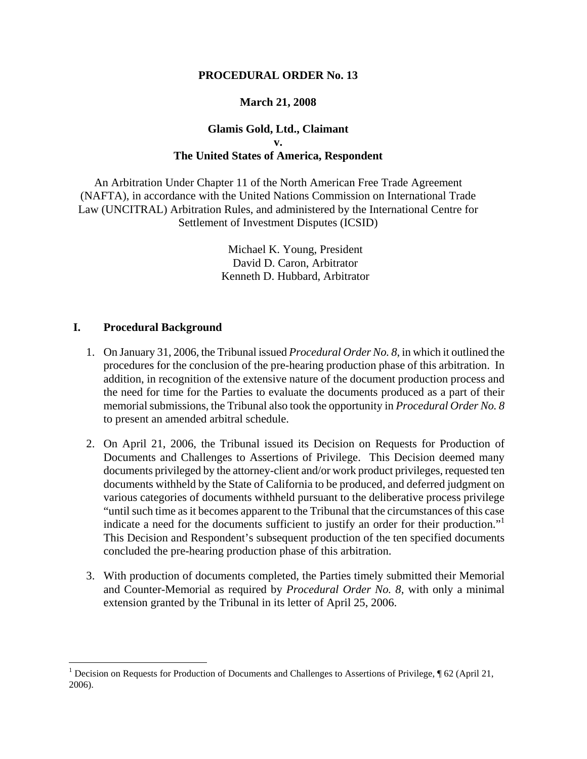#### **PROCEDURAL ORDER No. 13**

### **March 21, 2008**

# **Glamis Gold, Ltd., Claimant v. The United States of America, Respondent**

An Arbitration Under Chapter 11 of the North American Free Trade Agreement (NAFTA), in accordance with the United Nations Commission on International Trade Law (UNCITRAL) Arbitration Rules, and administered by the International Centre for Settlement of Investment Disputes (ICSID)

> Michael K. Young, President David D. Caron, Arbitrator Kenneth D. Hubbard, Arbitrator

#### **I. Procedural Background**

1

- 1. On January 31, 2006, the Tribunal issued *Procedural Order No. 8*, in which it outlined the procedures for the conclusion of the pre-hearing production phase of this arbitration. In addition, in recognition of the extensive nature of the document production process and the need for time for the Parties to evaluate the documents produced as a part of their memorial submissions, the Tribunal also took the opportunity in *Procedural Order No. 8* to present an amended arbitral schedule.
- 2. On April 21, 2006, the Tribunal issued its Decision on Requests for Production of Documents and Challenges to Assertions of Privilege. This Decision deemed many documents privileged by the attorney-client and/or work product privileges, requested ten documents withheld by the State of California to be produced, and deferred judgment on various categories of documents withheld pursuant to the deliberative process privilege "until such time as it becomes apparent to the Tribunal that the circumstances of this case indicate a need for the documents sufficient to justify an order for their production."<sup>1</sup> This Decision and Respondent's subsequent production of the ten specified documents concluded the pre-hearing production phase of this arbitration.
- 3. With production of documents completed, the Parties timely submitted their Memorial and Counter-Memorial as required by *Procedural Order No. 8*, with only a minimal extension granted by the Tribunal in its letter of April 25, 2006.

<sup>&</sup>lt;sup>1</sup> Decision on Requests for Production of Documents and Challenges to Assertions of Privilege,  $\sqrt{6}$  62 (April 21, 2006).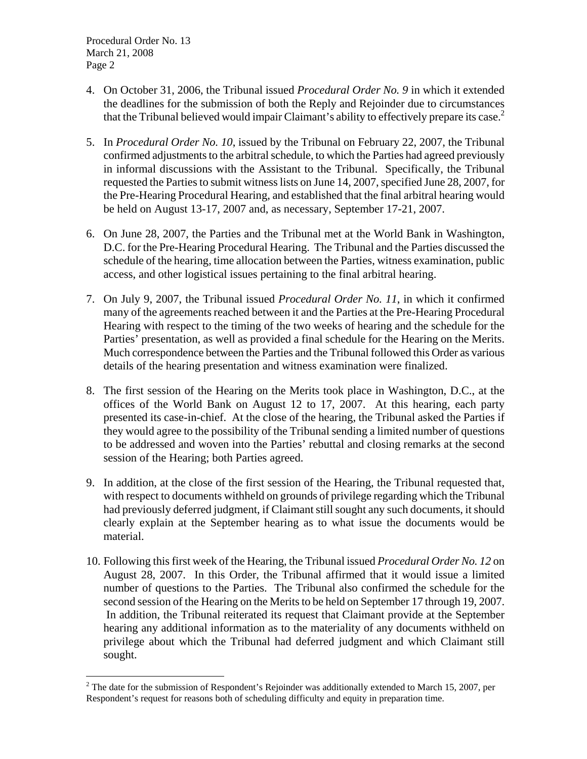$\overline{a}$ 

- 4. On October 31, 2006, the Tribunal issued *Procedural Order No. 9* in which it extended the deadlines for the submission of both the Reply and Rejoinder due to circumstances that the Tribunal believed would impair Claimant's ability to effectively prepare its case.<sup>2</sup>
- 5. In *Procedural Order No. 10*, issued by the Tribunal on February 22, 2007, the Tribunal confirmed adjustments to the arbitral schedule, to which the Parties had agreed previously in informal discussions with the Assistant to the Tribunal. Specifically, the Tribunal requested the Parties to submit witness lists on June 14, 2007, specified June 28, 2007, for the Pre-Hearing Procedural Hearing, and established that the final arbitral hearing would be held on August 13-17, 2007 and, as necessary, September 17-21, 2007.
- 6. On June 28, 2007, the Parties and the Tribunal met at the World Bank in Washington, D.C. for the Pre-Hearing Procedural Hearing. The Tribunal and the Parties discussed the schedule of the hearing, time allocation between the Parties, witness examination, public access, and other logistical issues pertaining to the final arbitral hearing.
- 7. On July 9, 2007, the Tribunal issued *Procedural Order No. 11*, in which it confirmed many of the agreements reached between it and the Parties at the Pre-Hearing Procedural Hearing with respect to the timing of the two weeks of hearing and the schedule for the Parties' presentation, as well as provided a final schedule for the Hearing on the Merits. Much correspondence between the Parties and the Tribunal followed this Order as various details of the hearing presentation and witness examination were finalized.
- 8. The first session of the Hearing on the Merits took place in Washington, D.C., at the offices of the World Bank on August 12 to 17, 2007. At this hearing, each party presented its case-in-chief. At the close of the hearing, the Tribunal asked the Parties if they would agree to the possibility of the Tribunal sending a limited number of questions to be addressed and woven into the Parties' rebuttal and closing remarks at the second session of the Hearing; both Parties agreed.
- 9. In addition, at the close of the first session of the Hearing, the Tribunal requested that, with respect to documents withheld on grounds of privilege regarding which the Tribunal had previously deferred judgment, if Claimant still sought any such documents, it should clearly explain at the September hearing as to what issue the documents would be material.
- 10. Following this first week of the Hearing, the Tribunal issued *Procedural Order No. 12* on August 28, 2007. In this Order, the Tribunal affirmed that it would issue a limited number of questions to the Parties. The Tribunal also confirmed the schedule for the second session of the Hearing on the Merits to be held on September 17 through 19, 2007. In addition, the Tribunal reiterated its request that Claimant provide at the September hearing any additional information as to the materiality of any documents withheld on privilege about which the Tribunal had deferred judgment and which Claimant still sought.

<sup>&</sup>lt;sup>2</sup> The date for the submission of Respondent's Rejoinder was additionally extended to March 15, 2007, per Respondent's request for reasons both of scheduling difficulty and equity in preparation time.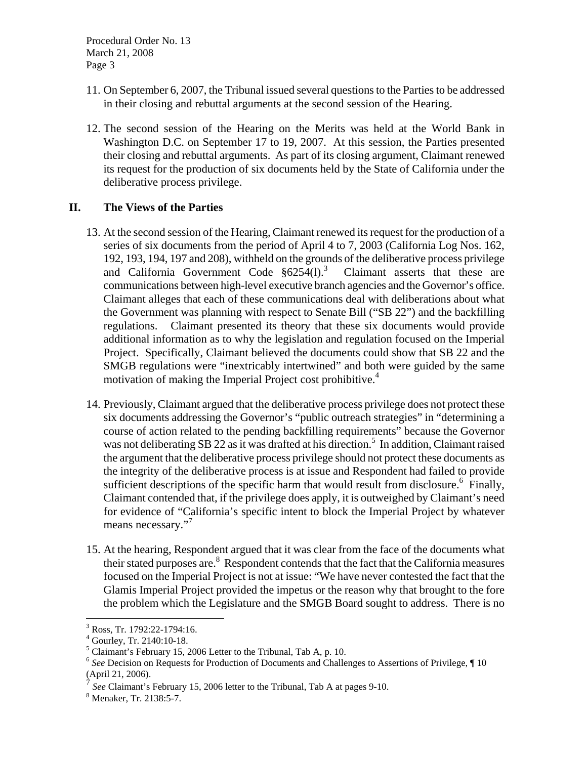- 11. On September 6, 2007, the Tribunal issued several questions to the Parties to be addressed in their closing and rebuttal arguments at the second session of the Hearing.
- 12. The second session of the Hearing on the Merits was held at the World Bank in Washington D.C. on September 17 to 19, 2007. At this session, the Parties presented their closing and rebuttal arguments. As part of its closing argument, Claimant renewed its request for the production of six documents held by the State of California under the deliberative process privilege.

# **II. The Views of the Parties**

- 13. At the second session of the Hearing, Claimant renewed its request for the production of a series of six documents from the period of April 4 to 7, 2003 (California Log Nos. 162, 192, 193, 194, 197 and 208), withheld on the grounds of the deliberative process privilege and California Government Code  $§6254(1).$ <sup>3</sup> Claimant asserts that these are communications between high-level executive branch agencies and the Governor's office. Claimant alleges that each of these communications deal with deliberations about what the Government was planning with respect to Senate Bill ("SB 22") and the backfilling regulations. Claimant presented its theory that these six documents would provide additional information as to why the legislation and regulation focused on the Imperial Project. Specifically, Claimant believed the documents could show that SB 22 and the SMGB regulations were "inextricably intertwined" and both were guided by the same motivation of making the Imperial Project cost prohibitive.<sup>4</sup>
- 14. Previously, Claimant argued that the deliberative process privilege does not protect these six documents addressing the Governor's "public outreach strategies" in "determining a course of action related to the pending backfilling requirements" because the Governor was not deliberating SB 22 as it was drafted at his direction.<sup>5</sup> In addition, Claimant raised the argument that the deliberative process privilege should not protect these documents as the integrity of the deliberative process is at issue and Respondent had failed to provide sufficient descriptions of the specific harm that would result from disclosure.<sup>6</sup> Finally, Claimant contended that, if the privilege does apply, it is outweighed by Claimant's need for evidence of "California's specific intent to block the Imperial Project by whatever means necessary."<sup>7</sup>
- 15. At the hearing, Respondent argued that it was clear from the face of the documents what their stated purposes are.<sup>8</sup> Respondent contends that the fact that the California measures focused on the Imperial Project is not at issue: "We have never contested the fact that the Glamis Imperial Project provided the impetus or the reason why that brought to the fore the problem which the Legislature and the SMGB Board sought to address. There is no

1

<sup>3</sup> Ross, Tr. 1792:22-1794:16.

<sup>4</sup> Gourley, Tr. 2140:10-18.

<sup>&</sup>lt;sup>5</sup> Claimant's February 15, 2006 Letter to the Tribunal, Tab A, p. 10.

<sup>&</sup>lt;sup>6</sup> See Decision on Requests for Production of Documents and Challenges to Assertions of Privilege, ¶ 10 (April 21, 2006).

See Claimant's February 15, 2006 letter to the Tribunal, Tab A at pages 9-10.

Menaker, Tr. 2138:5-7.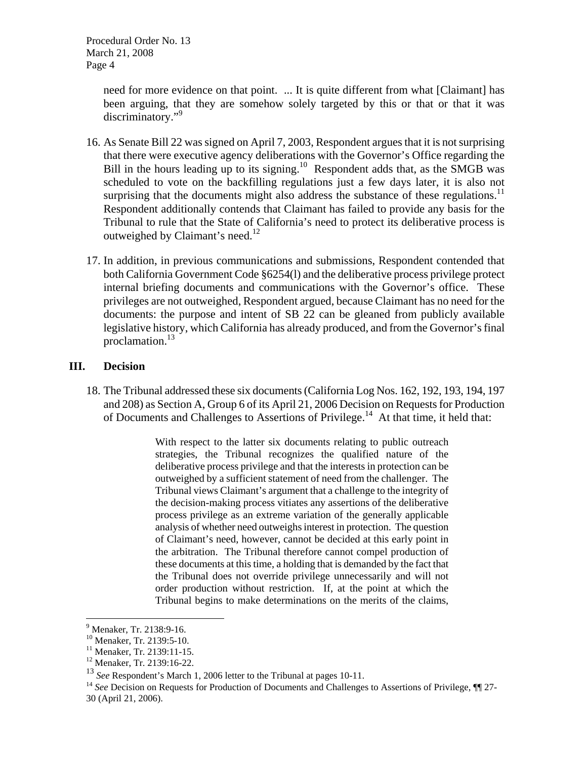> need for more evidence on that point. ... It is quite different from what [Claimant] has been arguing, that they are somehow solely targeted by this or that or that it was discriminatory."<sup>9</sup>

- 16. As Senate Bill 22 was signed on April 7, 2003, Respondent argues that it is not surprising that there were executive agency deliberations with the Governor's Office regarding the Bill in the hours leading up to its signing.<sup>10</sup> Respondent adds that, as the SMGB was scheduled to vote on the backfilling regulations just a few days later, it is also not surprising that the documents might also address the substance of these regulations.<sup>11</sup> Respondent additionally contends that Claimant has failed to provide any basis for the Tribunal to rule that the State of California's need to protect its deliberative process is outweighed by Claimant's need.<sup>12</sup>
- 17. In addition, in previous communications and submissions, Respondent contended that both California Government Code §6254(l) and the deliberative process privilege protect internal briefing documents and communications with the Governor's office. These privileges are not outweighed, Respondent argued, because Claimant has no need for the documents: the purpose and intent of SB 22 can be gleaned from publicly available legislative history, which California has already produced, and from the Governor's final proclamation.13

#### **III. Decision**

18. The Tribunal addressed these six documents (California Log Nos. 162, 192, 193, 194, 197 and 208) as Section A, Group 6 of its April 21, 2006 Decision on Requests for Production of Documents and Challenges to Assertions of Privilege.<sup>14</sup> At that time, it held that:

> With respect to the latter six documents relating to public outreach strategies, the Tribunal recognizes the qualified nature of the deliberative process privilege and that the interests in protection can be outweighed by a sufficient statement of need from the challenger. The Tribunal views Claimant's argument that a challenge to the integrity of the decision-making process vitiates any assertions of the deliberative process privilege as an extreme variation of the generally applicable analysis of whether need outweighs interest in protection. The question of Claimant's need, however, cannot be decided at this early point in the arbitration. The Tribunal therefore cannot compel production of these documents at this time, a holding that is demanded by the fact that the Tribunal does not override privilege unnecessarily and will not order production without restriction. If, at the point at which the Tribunal begins to make determinations on the merits of the claims,

 $\overline{a}$ 

<sup>&</sup>lt;sup>9</sup> Menaker, Tr. 2138:9-16.

<sup>&</sup>lt;sup>10</sup> Menaker, Tr. 2139:5-10.

<sup>&</sup>lt;sup>11</sup> Menaker, Tr. 2139:11-15.

<sup>12</sup> Menaker, Tr. 2139:16-22.

<sup>&</sup>lt;sup>13</sup> *See* Respondent's March 1, 2006 letter to the Tribunal at pages 10-11.<br><sup>14</sup> *See* Decision on Requests for Production of Documents and Challenges to Assertions of Privilege, ¶¶ 27-30 (April 21, 2006).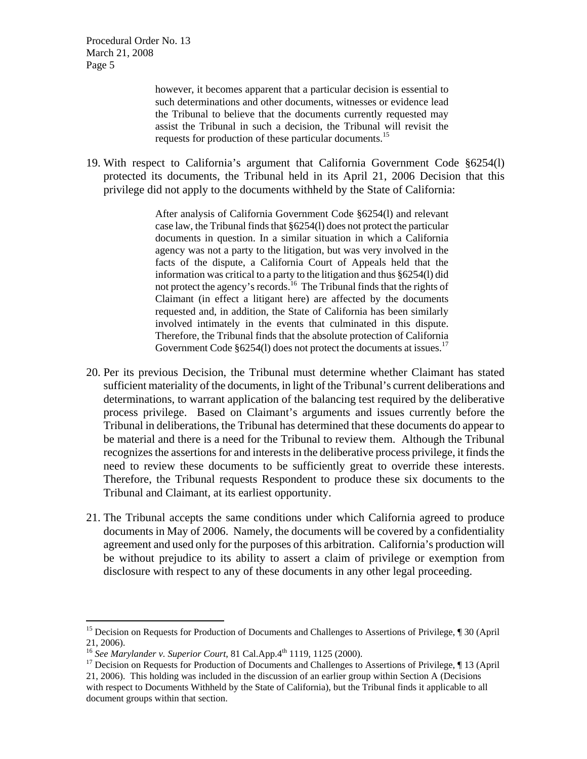> however, it becomes apparent that a particular decision is essential to such determinations and other documents, witnesses or evidence lead the Tribunal to believe that the documents currently requested may assist the Tribunal in such a decision, the Tribunal will revisit the requests for production of these particular documents.<sup>15</sup>

19. With respect to California's argument that California Government Code §6254(l) protected its documents, the Tribunal held in its April 21, 2006 Decision that this privilege did not apply to the documents withheld by the State of California:

> After analysis of California Government Code §6254(l) and relevant case law, the Tribunal finds that §6254(l) does not protect the particular documents in question. In a similar situation in which a California agency was not a party to the litigation, but was very involved in the facts of the dispute, a California Court of Appeals held that the information was critical to a party to the litigation and thus §6254(l) did not protect the agency's records.<sup>16</sup> The Tribunal finds that the rights of Claimant (in effect a litigant here) are affected by the documents requested and, in addition, the State of California has been similarly involved intimately in the events that culminated in this dispute. Therefore, the Tribunal finds that the absolute protection of California Government Code §6254(1) does not protect the documents at issues.<sup>17</sup>

- 20. Per its previous Decision, the Tribunal must determine whether Claimant has stated sufficient materiality of the documents, in light of the Tribunal's current deliberations and determinations, to warrant application of the balancing test required by the deliberative process privilege. Based on Claimant's arguments and issues currently before the Tribunal in deliberations, the Tribunal has determined that these documents do appear to be material and there is a need for the Tribunal to review them. Although the Tribunal recognizes the assertions for and interests in the deliberative process privilege, it finds the need to review these documents to be sufficiently great to override these interests. Therefore, the Tribunal requests Respondent to produce these six documents to the Tribunal and Claimant, at its earliest opportunity.
- 21. The Tribunal accepts the same conditions under which California agreed to produce documents in May of 2006. Namely, the documents will be covered by a confidentiality agreement and used only for the purposes of this arbitration. California's production will be without prejudice to its ability to assert a claim of privilege or exemption from disclosure with respect to any of these documents in any other legal proceeding.

 $\overline{a}$ 

<sup>&</sup>lt;sup>15</sup> Decision on Requests for Production of Documents and Challenges to Assertions of Privilege, ¶ 30 (April 21, 2006).<br><sup>16</sup> See Marylander v. Superior Court, 81 Cal.App.<sup>4th</sup> 1119, 1125 (2000).

<sup>&</sup>lt;sup>17</sup> Decision on Requests for Production of Documents and Challenges to Assertions of Privilege, ¶ 13 (April 21, 2006). This holding was included in the discussion of an earlier group within Section A (Decisions with respect to Documents Withheld by the State of California), but the Tribunal finds it applicable to all document groups within that section.